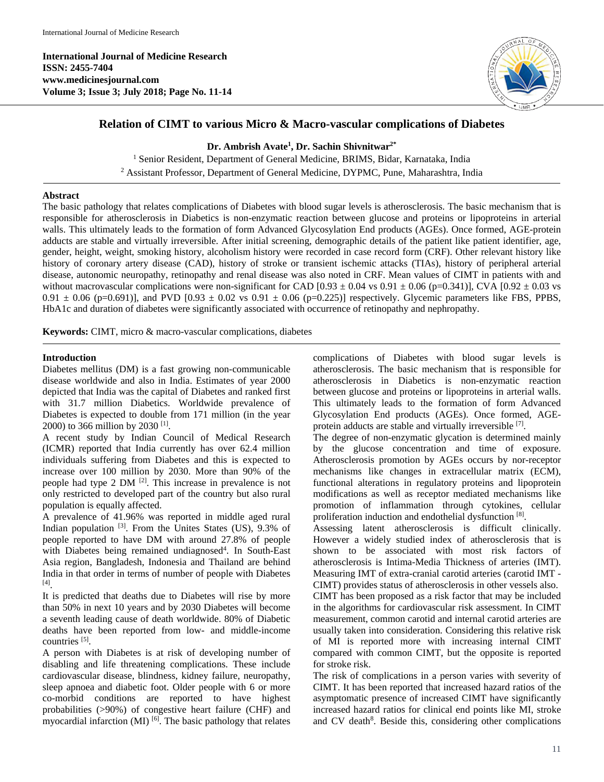**International Journal of Medicine Research ISSN: 2455-7404 www.medicinesjournal.com Volume 3; Issue 3; July 2018; Page No. 11-14**



# **Relation of CIMT to various Micro & Macro-vascular complications of Diabetes**

**Dr. Ambrish Avate1 , Dr. Sachin Shivnitwar2\***

<sup>1</sup> Senior Resident, Department of General Medicine, BRIMS, Bidar, Karnataka, India <sup>2</sup> Assistant Professor, Department of General Medicine, DYPMC, Pune, Maharashtra, India

#### **Abstract**

The basic pathology that relates complications of Diabetes with blood sugar levels is atherosclerosis. The basic mechanism that is responsible for atherosclerosis in Diabetics is non-enzymatic reaction between glucose and proteins or lipoproteins in arterial walls. This ultimately leads to the formation of form Advanced Glycosylation End products (AGEs). Once formed, AGE-protein adducts are stable and virtually irreversible. After initial screening, demographic details of the patient like patient identifier, age, gender, height, weight, smoking history, alcoholism history were recorded in case record form (CRF). Other relevant history like history of coronary artery disease (CAD), history of stroke or transient ischemic attacks (TIAs), history of peripheral arterial disease, autonomic neuropathy, retinopathy and renal disease was also noted in CRF. Mean values of CIMT in patients with and without macrovascular complications were non-significant for CAD  $[0.93 \pm 0.04 \text{ vs } 0.91 \pm 0.06 \text{ (p=0.341)}]$ , CVA  $[0.92 \pm 0.03 \text{ vs } 0.91 \pm 0.06 \text{ (p=0.341)}]$  $0.91 \pm 0.06$  (p=0.691)], and PVD [0.93  $\pm$  0.02 vs 0.91  $\pm$  0.06 (p=0.225)] respectively. Glycemic parameters like FBS, PPBS, HbA1c and duration of diabetes were significantly associated with occurrence of retinopathy and nephropathy.

**Keywords:** CIMT, micro & macro-vascular complications, diabetes

### **Introduction**

Diabetes mellitus (DM) is a fast growing non-communicable disease worldwide and also in India. Estimates of year 2000 depicted that India was the capital of Diabetes and ranked first with 31.7 million Diabetics. Worldwide prevalence of Diabetes is expected to double from 171 million (in the year 2000) to 366 million by 2030 [1] .

A recent study by Indian Council of Medical Research (ICMR) reported that India currently has over 62.4 million individuals suffering from Diabetes and this is expected to increase over 100 million by 2030. More than 90% of the people had type 2 DM <sup>[2]</sup>. This increase in prevalence is not only restricted to developed part of the country but also rural population is equally affected.

A prevalence of 41.96% was reported in middle aged rural Indian population <sup>[3]</sup>. From the Unites States (US), 9.3% of people reported to have DM with around 27.8% of people with Diabetes being remained undiagnosed<sup>4</sup>. In South-East Asia region, Bangladesh, Indonesia and Thailand are behind India in that order in terms of number of people with Diabetes [4] .

It is predicted that deaths due to Diabetes will rise by more than 50% in next 10 years and by 2030 Diabetes will become a seventh leading cause of death worldwide. 80% of Diabetic deaths have been reported from low- and middle-income countries<sup>[5]</sup>.

A person with Diabetes is at risk of developing number of disabling and life threatening complications. These include cardiovascular disease, blindness, kidney failure, neuropathy, sleep apnoea and diabetic foot. Older people with 6 or more co-morbid conditions are reported to have highest probabilities (>90%) of congestive heart failure (CHF) and myocardial infarction (MI)<sup>[6]</sup>. The basic pathology that relates complications of Diabetes with blood sugar levels is atherosclerosis. The basic mechanism that is responsible for atherosclerosis in Diabetics is non-enzymatic reaction between glucose and proteins or lipoproteins in arterial walls. This ultimately leads to the formation of form Advanced Glycosylation End products (AGEs). Once formed, AGEprotein adducts are stable and virtually irreversible [7].

The degree of non-enzymatic glycation is determined mainly by the glucose concentration and time of exposure. Atherosclerosis promotion by AGEs occurs by nor-receptor mechanisms like changes in extracellular matrix (ECM), functional alterations in regulatory proteins and lipoprotein modifications as well as receptor mediated mechanisms like promotion of inflammation through cytokines, cellular proliferation induction and endothelial dysfunction [8].

Assessing latent atherosclerosis is difficult clinically. However a widely studied index of atherosclerosis that is shown to be associated with most risk factors of atherosclerosis is Intima-Media Thickness of arteries (IMT). Measuring IMT of extra-cranial carotid arteries (carotid IMT - CIMT) provides status of atherosclerosis in other vessels also.

CIMT has been proposed as a risk factor that may be included in the algorithms for cardiovascular risk assessment. In CIMT measurement, common carotid and internal carotid arteries are usually taken into consideration. Considering this relative risk of MI is reported more with increasing internal CIMT compared with common CIMT, but the opposite is reported for stroke risk.

The risk of complications in a person varies with severity of CIMT. It has been reported that increased hazard ratios of the asymptomatic presence of increased CIMT have significantly increased hazard ratios for clinical end points like MI, stroke and CV death<sup>8</sup>. Beside this, considering other complications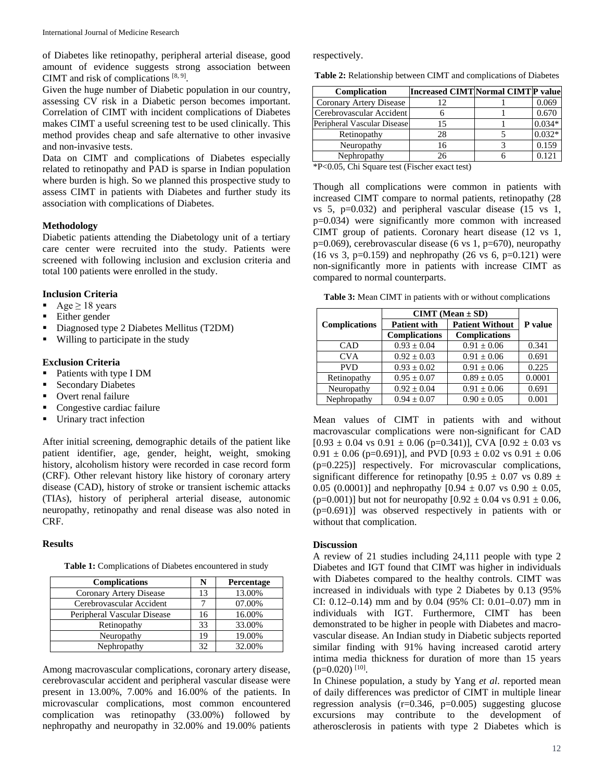of Diabetes like retinopathy, peripheral arterial disease, good amount of evidence suggests strong association between CIMT and risk of complications [8, 9].

Given the huge number of Diabetic population in our country, assessing CV risk in a Diabetic person becomes important. Correlation of CIMT with incident complications of Diabetes makes CIMT a useful screening test to be used clinically. This method provides cheap and safe alternative to other invasive and non-invasive tests.

Data on CIMT and complications of Diabetes especially related to retinopathy and PAD is sparse in Indian population where burden is high. So we planned this prospective study to assess CIMT in patients with Diabetes and further study its association with complications of Diabetes.

### **Methodology**

Diabetic patients attending the Diabetology unit of a tertiary care center were recruited into the study. Patients were screened with following inclusion and exclusion criteria and total 100 patients were enrolled in the study.

#### **Inclusion Criteria**

- Age  $\geq$  18 years
- Either gender
- Diagnosed type 2 Diabetes Mellitus (T2DM)
- Willing to participate in the study

#### **Exclusion Criteria**

- Patients with type I DM
- **Secondary Diabetes**
- Overt renal failure
- Congestive cardiac failure
- **Urinary tract infection**

After initial screening, demographic details of the patient like patient identifier, age, gender, height, weight, smoking history, alcoholism history were recorded in case record form (CRF). Other relevant history like history of coronary artery disease (CAD), history of stroke or transient ischemic attacks (TIAs), history of peripheral arterial disease, autonomic neuropathy, retinopathy and renal disease was also noted in CRF.

### **Results**

**Table 1:** Complications of Diabetes encountered in study

| <b>Complications</b>        | N  | Percentage |
|-----------------------------|----|------------|
| Coronary Artery Disease     | 13 | 13.00%     |
| Cerebrovascular Accident    |    | 07.00%     |
| Peripheral Vascular Disease | 16 | 16.00%     |
| Retinopathy                 | 33 | 33.00%     |
| Neuropathy                  | 19 | 19.00%     |
| Nephropathy                 | 32 | 32.00%     |

Among macrovascular complications, coronary artery disease, cerebrovascular accident and peripheral vascular disease were present in 13.00%, 7.00% and 16.00% of the patients. In microvascular complications, most common encountered complication was retinopathy (33.00%) followed by nephropathy and neuropathy in 32.00% and 19.00% patients

respectively.

**Table 2:** Relationship between CIMT and complications of Diabetes

| Complication                | Increased CIMT Normal CIMT P value |          |
|-----------------------------|------------------------------------|----------|
| Coronary Artery Disease     | 12                                 | 0.069    |
| Cerebrovascular Accident    |                                    | 0.670    |
| Peripheral Vascular Disease | 15                                 | $0.034*$ |
| Retinopathy                 | 28                                 | $0.032*$ |
| Neuropathy                  | 16                                 | 0.159    |
| Nephropathy                 | 26                                 | 0.121    |

\*P<0.05, Chi Square test (Fischer exact test)

Though all complications were common in patients with increased CIMT compare to normal patients, retinopathy (28 vs 5, p=0.032) and peripheral vascular disease (15 vs 1, p=0.034) were significantly more common with increased CIMT group of patients. Coronary heart disease (12 vs 1, p=0.069), cerebrovascular disease (6 vs 1, p=670), neuropathy (16 vs 3, p=0.159) and nephropathy (26 vs 6, p=0.121) were non-significantly more in patients with increase CIMT as compared to normal counterparts.

**Table 3:** Mean CIMT in patients with or without complications

|                      |                                               | $CIMIT (Mean \pm SD)$ |                |
|----------------------|-----------------------------------------------|-----------------------|----------------|
| <b>Complications</b> | <b>Patient Without</b><br><b>Patient with</b> |                       | <b>P</b> value |
|                      | <b>Complications</b>                          | <b>Complications</b>  |                |
| <b>CAD</b>           | $0.93 \pm 0.04$                               | $0.91 + 0.06$         | 0.341          |
| <b>CVA</b>           | $0.92 \pm 0.03$                               | $0.91 + 0.06$         | 0.691          |
| <b>PVD</b>           | $0.93 + 0.02$                                 | $0.91 + 0.06$         | 0.225          |
| Retinopathy          | $0.95 \pm 0.07$                               | $0.89 \pm 0.05$       | 0.0001         |
| Neuropathy           | $0.92 \pm 0.04$                               | $0.91 \pm 0.06$       | 0.691          |
| Nephropathy          | $0.94 + 0.07$                                 | $0.90 + 0.05$         | 0.001          |

Mean values of CIMT in patients with and without macrovascular complications were non-significant for CAD  $[0.93 \pm 0.04 \text{ vs } 0.91 \pm 0.06 \text{ (p=0.341)}],$  CVA  $[0.92 \pm 0.03 \text{ vs }$  $0.91 \pm 0.06$  (p=0.691)], and PVD [0.93  $\pm$  0.02 vs 0.91  $\pm$  0.06 (p=0.225)] respectively. For microvascular complications, significant difference for retinopathy  $[0.95 \pm 0.07 \text{ vs } 0.89 \pm 0.07]$ 0.05 (0.0001)] and nephropathy  $[0.94 \pm 0.07 \text{ vs } 0.90 \pm 0.05]$ , (p=0.001)] but not for neuropathy  $[0.92 \pm 0.04 \text{ vs } 0.91 \pm 0.06,$ (p=0.691)] was observed respectively in patients with or without that complication.

### **Discussion**

A review of 21 studies including 24,111 people with type 2 Diabetes and IGT found that CIMT was higher in individuals with Diabetes compared to the healthy controls. CIMT was increased in individuals with type 2 Diabetes by 0.13 (95% CI: 0.12–0.14) mm and by 0.04 (95% CI: 0.01–0.07) mm in individuals with IGT. Furthermore, CIMT has been demonstrated to be higher in people with Diabetes and macrovascular disease. An Indian study in Diabetic subjects reported similar finding with 91% having increased carotid artery intima media thickness for duration of more than 15 years  $(p=0.020)$ <sup>[10]</sup>.

In Chinese population, a study by Yang *et al*. reported mean of daily differences was predictor of CIMT in multiple linear regression analysis  $(r=0.346, p=0.005)$  suggesting glucose excursions may contribute to the development of atherosclerosis in patients with type 2 Diabetes which is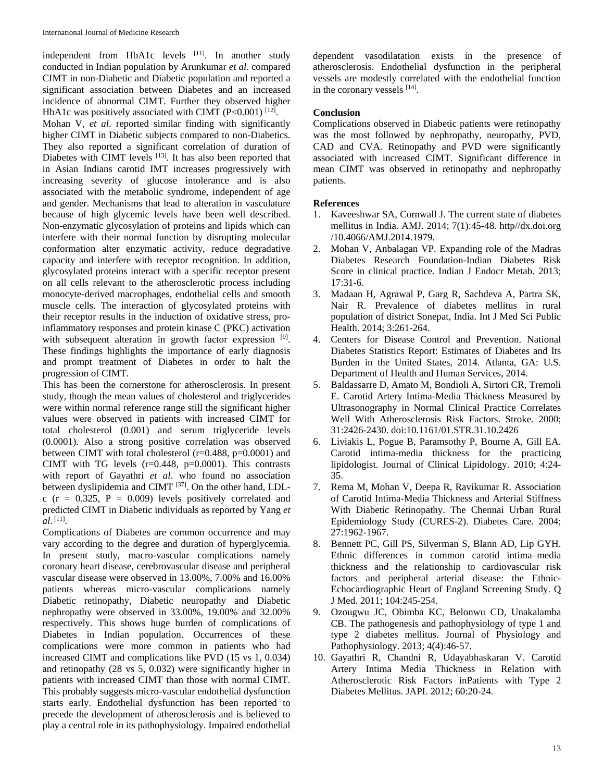independent from HbA1c levels [11]. In another study conducted in Indian population by Arunkumar *et al*. compared CIMT in non-Diabetic and Diabetic population and reported a significant association between Diabetes and an increased incidence of abnormal CIMT. Further they observed higher HbA1c was positively associated with CIMT  $(P<0.001)$  [12]. Mohan V, *et al*. reported similar finding with significantly

higher CIMT in Diabetic subjects compared to non-Diabetics. They also reported a significant correlation of duration of Diabetes with CIMT levels [13]. It has also been reported that in Asian Indians carotid IMT increases progressively with increasing severity of glucose intolerance and is also associated with the metabolic syndrome, independent of age and gender. Mechanisms that lead to alteration in vasculature because of high glycemic levels have been well described. Non-enzymatic glycosylation of proteins and lipids which can interfere with their normal function by disrupting molecular conformation alter enzymatic activity, reduce degradative capacity and interfere with receptor recognition. In addition, glycosylated proteins interact with a specific receptor present on all cells relevant to the atherosclerotic process including monocyte-derived macrophages, endothelial cells and smooth muscle cells. The interaction of glycosylated proteins with their receptor results in the induction of oxidative stress, proinflammatory responses and protein kinase C (PKC) activation with subsequent alteration in growth factor expression <sup>[9]</sup>. These findings highlights the importance of early diagnosis and prompt treatment of Diabetes in order to halt the progression of CIMT.

This has been the cornerstone for atherosclerosis. In present study, though the mean values of cholesterol and triglycerides were within normal reference range still the significant higher values were observed in patients with increased CIMT for total cholesterol (0.001) and serum triglyceride levels (0.0001). Also a strong positive correlation was observed between CIMT with total cholesterol (r=0.488, p=0.0001) and CIMT with TG levels  $(r=0.448, p=0.0001)$ . This contrasts with report of Gayathri *et al*. who found no association between dyslipidemia and CIMT [37]. On the other hand, LDLc ( $r = 0.325$ ,  $P = 0.009$ ) levels positively correlated and predicted CIMT in Diabetic individuals as reported by Yang *et al*. [11].

Complications of Diabetes are common occurrence and may vary according to the degree and duration of hyperglycemia. In present study, macro-vascular complications namely coronary heart disease, cerebrovascular disease and peripheral vascular disease were observed in 13.00%, 7.00% and 16.00% patients whereas micro-vascular complications namely Diabetic retinopathy, Diabetic neuropathy and Diabetic nephropathy were observed in 33.00%, 19.00% and 32.00% respectively. This shows huge burden of complications of Diabetes in Indian population. Occurrences of these complications were more common in patients who had increased CIMT and complications like PVD (15 vs 1, 0.034) and retinopathy (28 vs 5, 0.032) were significantly higher in patients with increased CIMT than those with normal CIMT. This probably suggests micro-vascular endothelial dysfunction starts early. Endothelial dysfunction has been reported to precede the development of atherosclerosis and is believed to play a central role in its pathophysiology. Impaired endothelial dependent vasodilatation exists in the presence of atherosclerosis. Endothelial dysfunction in the peripheral vessels are modestly correlated with the endothelial function in the coronary vessels [14].

## **Conclusion**

Complications observed in Diabetic patients were retinopathy was the most followed by nephropathy, neuropathy, PVD, CAD and CVA. Retinopathy and PVD were significantly associated with increased CIMT. Significant difference in mean CIMT was observed in retinopathy and nephropathy patients.

# **References**

- 1. Kaveeshwar SA, Cornwall J. The current state of diabetes mellitus in India. AMJ. 2014; 7(1):45-48. http//dx.doi.org /10.4066/AMJ.2014.1979.
- 2. Mohan V, Anbalagan VP. Expanding role of the Madras Diabetes Research Foundation-Indian Diabetes Risk Score in clinical practice. Indian J Endocr Metab. 2013; 17:31-6.
- 3. Madaan H, Agrawal P, Garg R, Sachdeva A, Partra SK, Nair R. Prevalence of diabetes mellitus in rural population of district Sonepat, India. Int J Med Sci Public Health. 2014; 3:261-264.
- 4. Centers for Disease Control and Prevention. National Diabetes Statistics Report: Estimates of Diabetes and Its Burden in the United States, 2014. Atlanta, GA: U.S. Department of Health and Human Services, 2014.
- 5. Baldassarre D, Amato M, Bondioli A, Sirtori CR, Tremoli E. Carotid Artery Intima-Media Thickness Measured by Ultrasonography in Normal Clinical Practice Correlates Well With Atherosclerosis Risk Factors. Stroke. 2000; 31:2426-2430. doi:10.1161/01.STR.31.10.2426
- 6. Liviakis L, Pogue B, Paramsothy P, Bourne A, Gill EA. Carotid intima-media thickness for the practicing lipidologist. Journal of Clinical Lipidology. 2010; 4:24- 35.
- 7. Rema M, Mohan V, Deepa R, Ravikumar R. Association of Carotid Intima-Media Thickness and Arterial Stiffness With Diabetic Retinopathy. The Chennai Urban Rural Epidemiology Study (CURES-2). Diabetes Care. 2004; 27:1962-1967.
- 8. Bennett PC, Gill PS, Silverman S, Blann AD, Lip GYH. Ethnic differences in common carotid intima–media thickness and the relationship to cardiovascular risk factors and peripheral arterial disease: the Ethnic-Echocardiographic Heart of England Screening Study. Q J Med. 2011; 104:245-254.
- 9. Ozougwu JC, Obimba KC, Belonwu CD, Unakalamba CB. The pathogenesis and pathophysiology of type 1 and type 2 diabetes mellitus. Journal of Physiology and Pathophysiology. 2013; 4(4):46-57.
- 10. Gayathri R, Chandni R, Udayabhaskaran V. Carotid Artery Intima Media Thickness in Relation with Atherosclerotic Risk Factors inPatients with Type 2 Diabetes Mellitus. JAPI. 2012; 60:20-24.